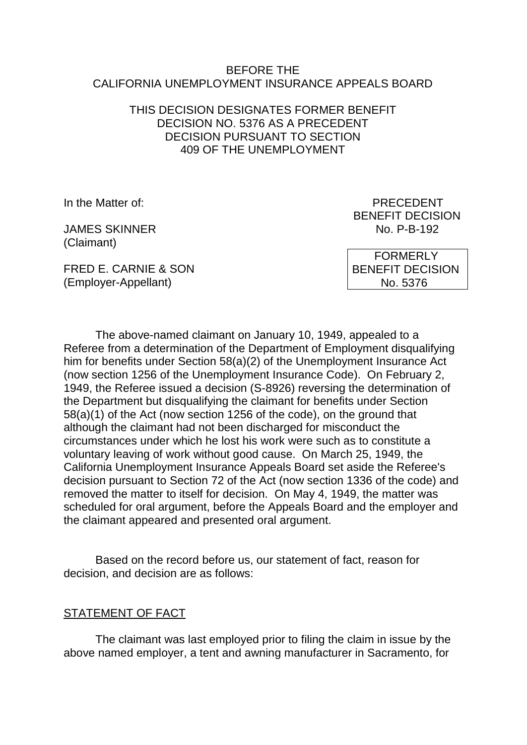#### BEFORE THE CALIFORNIA UNEMPLOYMENT INSURANCE APPEALS BOARD

### THIS DECISION DESIGNATES FORMER BENEFIT DECISION NO. 5376 AS A PRECEDENT DECISION PURSUANT TO SECTION 409 OF THE UNEMPLOYMENT

In the Matter of: PRECEDENT

JAMES SKINNER NO. P-B-192 (Claimant)

BENEFIT DECISION

FRED E. CARNIE & SON (Employer-Appellant)

 FORMERLY BENEFIT DECISION No. 5376

The above-named claimant on January 10, 1949, appealed to a Referee from a determination of the Department of Employment disqualifying him for benefits under Section 58(a)(2) of the Unemployment Insurance Act (now section 1256 of the Unemployment Insurance Code). On February 2, 1949, the Referee issued a decision (S-8926) reversing the determination of the Department but disqualifying the claimant for benefits under Section 58(a)(1) of the Act (now section 1256 of the code), on the ground that although the claimant had not been discharged for misconduct the circumstances under which he lost his work were such as to constitute a voluntary leaving of work without good cause. On March 25, 1949, the California Unemployment Insurance Appeals Board set aside the Referee's decision pursuant to Section 72 of the Act (now section 1336 of the code) and removed the matter to itself for decision. On May 4, 1949, the matter was scheduled for oral argument, before the Appeals Board and the employer and the claimant appeared and presented oral argument.

Based on the record before us, our statement of fact, reason for decision, and decision are as follows:

#### STATEMENT OF FACT

The claimant was last employed prior to filing the claim in issue by the above named employer, a tent and awning manufacturer in Sacramento, for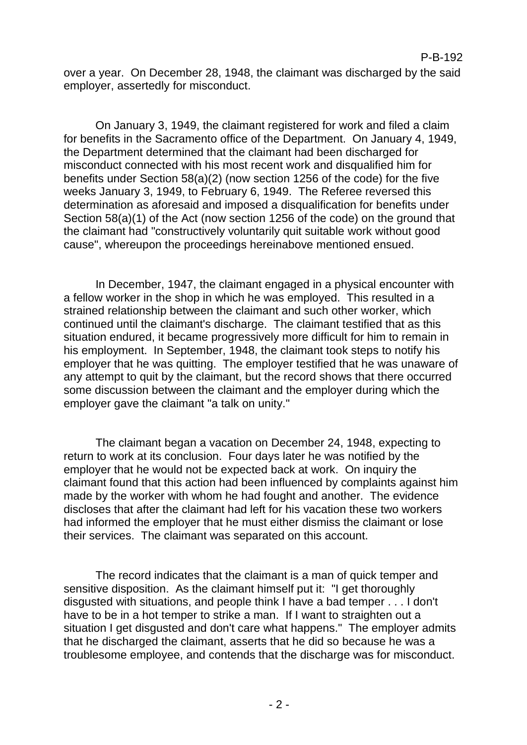over a year. On December 28, 1948, the claimant was discharged by the said employer, assertedly for misconduct.

On January 3, 1949, the claimant registered for work and filed a claim for benefits in the Sacramento office of the Department. On January 4, 1949, the Department determined that the claimant had been discharged for misconduct connected with his most recent work and disqualified him for benefits under Section 58(a)(2) (now section 1256 of the code) for the five weeks January 3, 1949, to February 6, 1949. The Referee reversed this determination as aforesaid and imposed a disqualification for benefits under Section 58(a)(1) of the Act (now section 1256 of the code) on the ground that the claimant had "constructively voluntarily quit suitable work without good cause", whereupon the proceedings hereinabove mentioned ensued.

In December, 1947, the claimant engaged in a physical encounter with a fellow worker in the shop in which he was employed. This resulted in a strained relationship between the claimant and such other worker, which continued until the claimant's discharge. The claimant testified that as this situation endured, it became progressively more difficult for him to remain in his employment. In September, 1948, the claimant took steps to notify his employer that he was quitting. The employer testified that he was unaware of any attempt to quit by the claimant, but the record shows that there occurred some discussion between the claimant and the employer during which the employer gave the claimant "a talk on unity."

The claimant began a vacation on December 24, 1948, expecting to return to work at its conclusion. Four days later he was notified by the employer that he would not be expected back at work. On inquiry the claimant found that this action had been influenced by complaints against him made by the worker with whom he had fought and another. The evidence discloses that after the claimant had left for his vacation these two workers had informed the employer that he must either dismiss the claimant or lose their services. The claimant was separated on this account.

The record indicates that the claimant is a man of quick temper and sensitive disposition. As the claimant himself put it: "I get thoroughly disgusted with situations, and people think I have a bad temper . . . I don't have to be in a hot temper to strike a man. If I want to straighten out a situation I get disgusted and don't care what happens." The employer admits that he discharged the claimant, asserts that he did so because he was a troublesome employee, and contends that the discharge was for misconduct.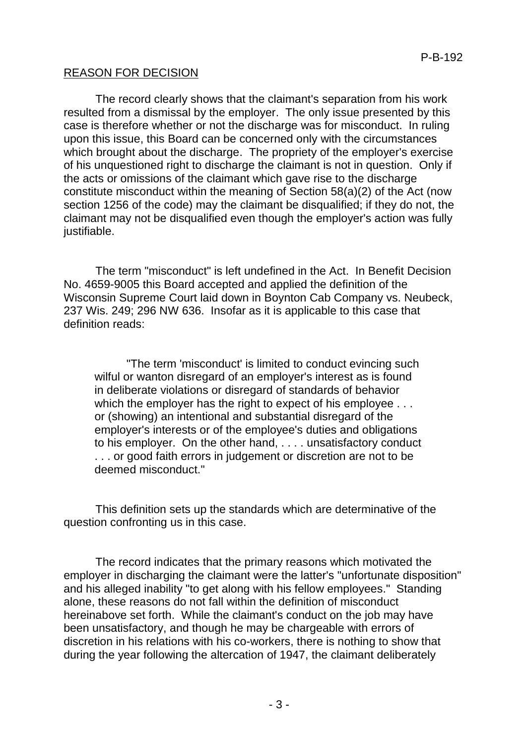## REASON FOR DECISION

The record clearly shows that the claimant's separation from his work resulted from a dismissal by the employer. The only issue presented by this case is therefore whether or not the discharge was for misconduct. In ruling upon this issue, this Board can be concerned only with the circumstances which brought about the discharge. The propriety of the employer's exercise of his unquestioned right to discharge the claimant is not in question. Only if the acts or omissions of the claimant which gave rise to the discharge constitute misconduct within the meaning of Section 58(a)(2) of the Act (now section 1256 of the code) may the claimant be disqualified; if they do not, the claimant may not be disqualified even though the employer's action was fully justifiable.

The term "misconduct" is left undefined in the Act. In Benefit Decision No. 4659-9005 this Board accepted and applied the definition of the Wisconsin Supreme Court laid down in Boynton Cab Company vs. Neubeck, 237 Wis. 249; 296 NW 636. Insofar as it is applicable to this case that definition reads:

"The term 'misconduct' is limited to conduct evincing such wilful or wanton disregard of an employer's interest as is found in deliberate violations or disregard of standards of behavior which the employer has the right to expect of his employee . . . or (showing) an intentional and substantial disregard of the employer's interests or of the employee's duties and obligations to his employer. On the other hand, . . . . unsatisfactory conduct . . . or good faith errors in judgement or discretion are not to be deemed misconduct."

This definition sets up the standards which are determinative of the question confronting us in this case.

The record indicates that the primary reasons which motivated the employer in discharging the claimant were the latter's "unfortunate disposition" and his alleged inability "to get along with his fellow employees." Standing alone, these reasons do not fall within the definition of misconduct hereinabove set forth. While the claimant's conduct on the job may have been unsatisfactory, and though he may be chargeable with errors of discretion in his relations with his co-workers, there is nothing to show that during the year following the altercation of 1947, the claimant deliberately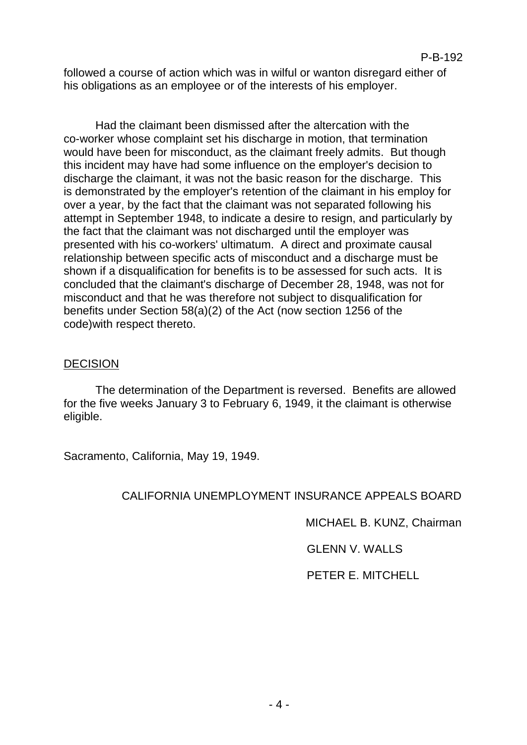followed a course of action which was in wilful or wanton disregard either of his obligations as an employee or of the interests of his employer.

Had the claimant been dismissed after the altercation with the co-worker whose complaint set his discharge in motion, that termination would have been for misconduct, as the claimant freely admits. But though this incident may have had some influence on the employer's decision to discharge the claimant, it was not the basic reason for the discharge. This is demonstrated by the employer's retention of the claimant in his employ for over a year, by the fact that the claimant was not separated following his attempt in September 1948, to indicate a desire to resign, and particularly by the fact that the claimant was not discharged until the employer was presented with his co-workers' ultimatum. A direct and proximate causal relationship between specific acts of misconduct and a discharge must be shown if a disqualification for benefits is to be assessed for such acts. It is concluded that the claimant's discharge of December 28, 1948, was not for misconduct and that he was therefore not subject to disqualification for benefits under Section 58(a)(2) of the Act (now section 1256 of the code)with respect thereto.

### DECISION

The determination of the Department is reversed. Benefits are allowed for the five weeks January 3 to February 6, 1949, it the claimant is otherwise eligible.

Sacramento, California, May 19, 1949.

# CALIFORNIA UNEMPLOYMENT INSURANCE APPEALS BOARD

MICHAEL B. KUNZ, Chairman

GLENN V. WALLS

PETER E. MITCHELL